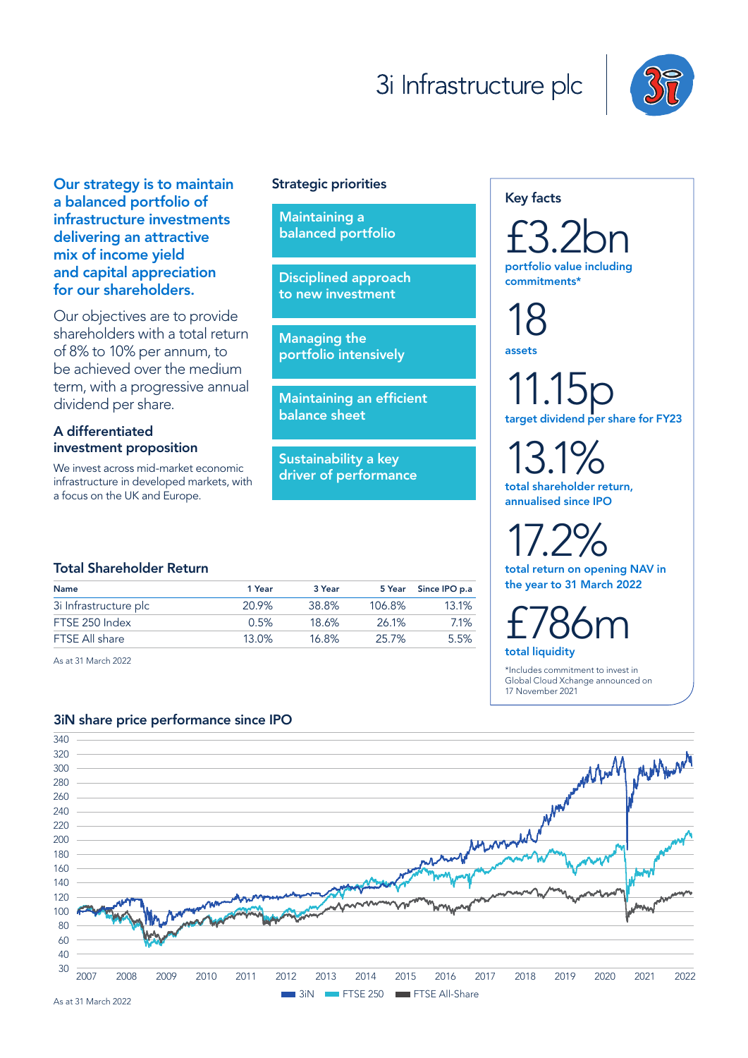# 3i Infrastructure plc



Our strategy is to maintain a balanced portfolio of infrastructure investments delivering an attractive mix of income yield and capital appreciation for our shareholders.

Our objectives are to provide shareholders with a total return of 8% to 10% per annum, to be achieved over the medium term, with a progressive annual dividend per share.

# A differentiated investment proposition

We invest across mid-market economic infrastructure in developed markets, with a focus on the UK and Europe.

#### Strategic priorities

Maintaining a balanced portfolio

Disciplined approach to new investment

Managing the portfolio intensively

Maintaining an efficient balance sheet

Sustainability a key driver of performance

#### Key facts

£3.2bn portfolio value including commitments\*

18 assets

11.15p target dividend per share for FY23

13.1% total shareholder return,

annualised since IPO

17.2% total return on opening NAV in the year to 31 March 2022

£786m total liquidity

\*Includes commitment to invest in Global Cloud Xchange announced on 17 November 2021

## Total Shareholder Return

| <b>Name</b>           | 1 Year   | 3 Year |        | 5 Year Since IPO p.a |
|-----------------------|----------|--------|--------|----------------------|
| 3i Infrastructure plc | 20.9%    | 38.8%  | 106.8% | 13.1%                |
| FTSE 250 Index        | 0.5%     | 18.6%  | 26.1%  | $7.1\%$              |
| FTSE All share        | $13.0\%$ | 16.8%  | 25.7%  | 5.5%                 |
|                       |          |        |        |                      |

As at 31 March 2022

## 3iN share price performance since IPO